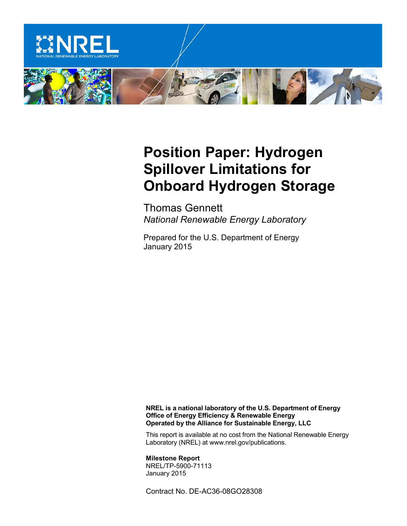

## **Position Paper: Hydrogen Spillover Limitations for Onboard Hydrogen Storage**

Thomas Gennett *National Renewable Energy Laboratory*

Prepared for the U.S. Department of Energy January 2015

**NREL is a national laboratory of the U.S. Department of Energy Office of Energy Efficiency & Renewable Energy Operated by the Alliance for Sustainable Energy, LLC**

This report is available at no cost from the National Renewable Energy Laboratory (NREL) at www.nrel.gov/publications.

**Milestone Report** NREL/TP-5900-71113 January 2015

Contract No. DE-AC36-08GO28308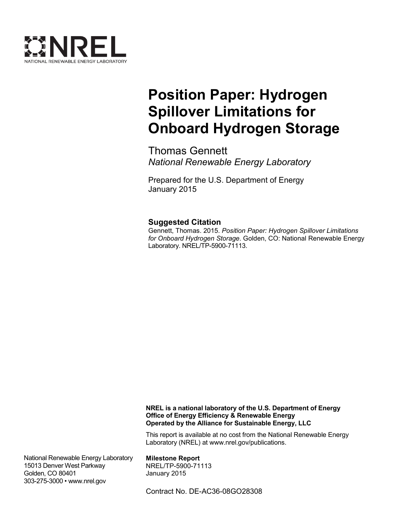

# **Position Paper: Hydrogen Spillover Limitations for Onboard Hydrogen Storage**

Thomas Gennett *National Renewable Energy Laboratory*

Prepared for the U.S. Department of Energy January 2015

#### **Suggested Citation**

Gennett, Thomas. 2015. *Position Paper: Hydrogen Spillover Limitations for Onboard Hydrogen Storage*. Golden, CO: National Renewable Energy Laboratory. NREL/TP-5900-71113.

**NREL is a national laboratory of the U.S. Department of Energy Office of Energy Efficiency & Renewable Energy Operated by the Alliance for Sustainable Energy, LLC**

This report is available at no cost from the National Renewable Energy Laboratory (NREL) at www.nrel.gov/publications.

National Renewable Energy Laboratory 15013 Denver West Parkway Golden, CO 80401 303-275-3000 • www.nrel.gov

**Milestone Report** NREL/TP-5900-71113 January 2015

Contract No. DE-AC36-08GO28308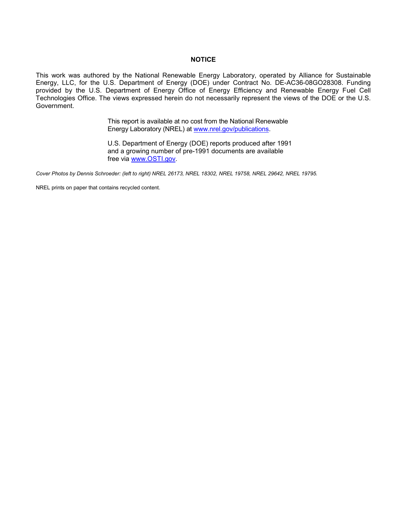#### **NOTICE**

This work was authored by the National Renewable Energy Laboratory, operated by Alliance for Sustainable Energy, LLC, for the U.S. Department of Energy (DOE) under Contract No. DE-AC36-08GO28308. Funding provided by the U.S. Department of Energy Office of Energy Efficiency and Renewable Energy Fuel Cell Technologies Office. The views expressed herein do not necessarily represent the views of the DOE or the U.S. Government.

> This report is available at no cost from the National Renewable Energy Laboratory (NREL) at [www.nrel.gov/publications.](http://www.nrel.gov/publications)

U.S. Department of Energy (DOE) reports produced after 1991 and a growing number of pre-1991 documents are available free via [www.OSTI.gov.](http://www.osti.gov/)

*Cover Photos by Dennis Schroeder: (left to right) NREL 26173, NREL 18302, NREL 19758, NREL 29642, NREL 19795.*

NREL prints on paper that contains recycled content.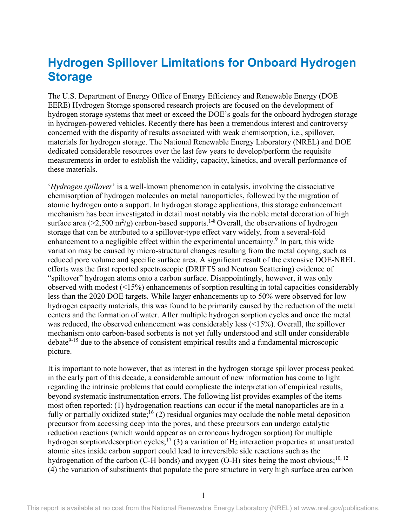### **Hydrogen Spillover Limitations for Onboard Hydrogen Storage**

The U.S. Department of Energy Office of Energy Efficiency and Renewable Energy (DOE EERE) Hydrogen Storage sponsored research projects are focused on the development of hydrogen storage systems that meet or exceed the DOE's goals for the onboard hydrogen storage in hydrogen-powered vehicles. Recently there has been a tremendous interest and controversy concerned with the disparity of results associated with weak chemisorption, i.e., spillover, materials for hydrogen storage. The National Renewable Energy Laboratory (NREL) and DOE dedicated considerable resources over the last few years to develop/perform the requisite measurements in order to establish the validity, capacity, kinetics, and overall performance of these materials.

'*Hydrogen spillover*' is a well-known phenomenon in catalysis, involving the dissociative chemisorption of hydrogen molecules on metal nanoparticles, followed by the migration of atomic hydrogen onto a support. In hydrogen storage applications, this storage enhancement mechanism has been investigated in detail most notably via the noble metal decoration of high surface area (>2,500 m<sup>2</sup>/g) carbon-based supports.<sup>1-8</sup> Overall, the observations of hydrogen storage that can be attributed to a spillover-type effect vary widely, from a several-fold enhancement to a negligible effect within the experimental uncertainty.<sup>9</sup> In part, this wide variation may be caused by micro-structural changes resulting from the metal doping, such as reduced pore volume and specific surface area. A significant result of the extensive DOE-NREL efforts was the first reported spectroscopic (DRIFTS and Neutron Scattering) evidence of "spiltover" hydrogen atoms onto a carbon surface. Disappointingly, however, it was only observed with modest (<15%) enhancements of sorption resulting in total capacities considerably less than the 2020 DOE targets. While larger enhancements up to 50% were observed for low hydrogen capacity materials, this was found to be primarily caused by the reduction of the metal centers and the formation of water. After multiple hydrogen sorption cycles and once the metal was reduced, the observed enhancement was considerably less (<15%). Overall, the spillover mechanism onto carbon-based sorbents is not yet fully understood and still under considerable  $debate<sup>9-15</sup>$  due to the absence of consistent empirical results and a fundamental microscopic picture.

It is important to note however, that as interest in the hydrogen storage spillover process peaked in the early part of this decade, a considerable amount of new information has come to light regarding the intrinsic problems that could complicate the interpretation of empirical results, beyond systematic instrumentation errors. The following list provides examples of the items most often reported: (1) hydrogenation reactions can occur if the metal nanoparticles are in a fully or partially oxidized state;<sup>16</sup> (2) residual organics may occlude the noble metal deposition precursor from accessing deep into the pores, and these precursors can undergo catalytic reduction reactions (which would appear as an erroneous hydrogen sorption) for multiple hydrogen sorption/desorption cycles;<sup>17</sup> (3) a variation of  $H_2$  interaction properties at unsaturated atomic sites inside carbon support could lead to irreversible side reactions such as the hydrogenation of the carbon (C-H bonds) and oxygen (O-H) sites being the most obvious;<sup>10, 12</sup> (4) the variation of substituents that populate the pore structure in very high surface area carbon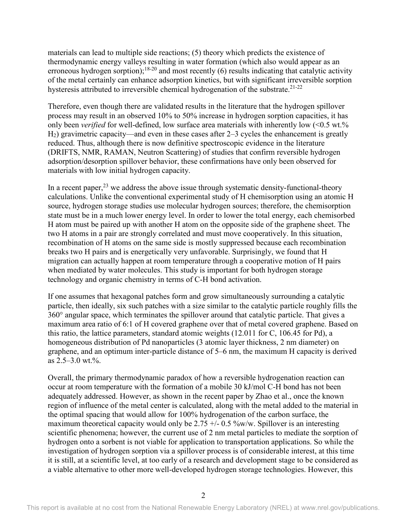materials can lead to multiple side reactions; (5) theory which predicts the existence of thermodynamic energy valleys resulting in water formation (which also would appear as an erroneous hydrogen sorption);<sup>18-20</sup> and most recently (6) results indicating that catalytic activity of the metal certainly can enhance adsorption kinetics, but with significant irreversible sorption hysteresis attributed to irreversible chemical hydrogenation of the substrate.<sup>21-22</sup>

Therefore, even though there are validated results in the literature that the hydrogen spillover process may result in an observed 10% to 50% increase in hydrogen sorption capacities, it has only been *verified* for well-defined, low surface area materials with inherently low (<0.5 wt.%) H2) gravimetric capacity—and even in these cases after 2–3 cycles the enhancement is greatly reduced. Thus, although there is now definitive spectroscopic evidence in the literature (DRIFTS, NMR, RAMAN, Neutron Scattering) of studies that confirm reversible hydrogen adsorption/desorption spillover behavior, these confirmations have only been observed for materials with low initial hydrogen capacity.

In a recent paper,  $2<sup>3</sup>$  we address the above issue through systematic density-functional-theory calculations. Unlike the conventional experimental study of H chemisorption using an atomic H source, hydrogen storage studies use molecular hydrogen sources; therefore, the chemisorption state must be in a much lower energy level. In order to lower the total energy, each chemisorbed H atom must be paired up with another H atom on the opposite side of the graphene sheet. The two H atoms in a pair are strongly correlated and must move cooperatively. In this situation, recombination of H atoms on the same side is mostly suppressed because each recombination breaks two H pairs and is energetically very unfavorable. Surprisingly, we found that H migration can actually happen at room temperature through a cooperative motion of H pairs when mediated by water molecules. This study is important for both hydrogen storage technology and organic chemistry in terms of C-H bond activation.

If one assumes that hexagonal patches form and grow simultaneously surrounding a catalytic particle, then ideally, six such patches with a size similar to the catalytic particle roughly fills the 360° angular space, which terminates the spillover around that catalytic particle. That gives a maximum area ratio of 6:1 of H covered graphene over that of metal covered graphene. Based on this ratio, the lattice parameters, standard atomic weights (12.011 for C, 106.45 for Pd), a homogeneous distribution of Pd nanoparticles (3 atomic layer thickness, 2 nm diameter) on graphene, and an optimum inter-particle distance of 5–6 nm, the maximum H capacity is derived as  $2.5-3.0$  wt.%.

Overall, the primary thermodynamic paradox of how a reversible hydrogenation reaction can occur at room temperature with the formation of a mobile 30 kJ/mol C-H bond has not been adequately addressed. However, as shown in the recent paper by Zhao et al., once the known region of influence of the metal center is calculated, along with the metal added to the material in the optimal spacing that would allow for 100% hydrogenation of the carbon surface, the maximum theoretical capacity would only be 2.75  $\pm$ /- 0.5 %w/w. Spillover is an interesting scientific phenomena; however, the current use of 2 nm metal particles to mediate the sorption of hydrogen onto a sorbent is not viable for application to transportation applications. So while the investigation of hydrogen sorption via a spillover process is of considerable interest, at this time it is still, at a scientific level, at too early of a research and development stage to be considered as a viable alternative to other more well-developed hydrogen storage technologies. However, this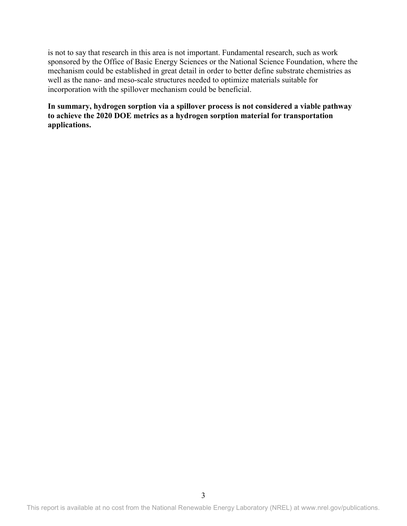is not to say that research in this area is not important. Fundamental research, such as work sponsored by the Office of Basic Energy Sciences or the National Science Foundation, where the mechanism could be established in great detail in order to better define substrate chemistries as well as the nano- and meso-scale structures needed to optimize materials suitable for incorporation with the spillover mechanism could be beneficial.

**In summary, hydrogen sorption via a spillover process is not considered a viable pathway to achieve the 2020 DOE metrics as a hydrogen sorption material for transportation applications.**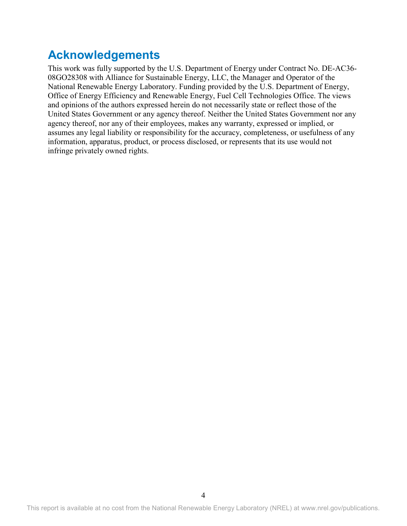## **Acknowledgements**

This work was fully supported by the U.S. Department of Energy under Contract No. DE-AC36- 08GO28308 with Alliance for Sustainable Energy, LLC, the Manager and Operator of the National Renewable Energy Laboratory. Funding provided by the U.S. Department of Energy, Office of Energy Efficiency and Renewable Energy, Fuel Cell Technologies Office. The views and opinions of the authors expressed herein do not necessarily state or reflect those of the United States Government or any agency thereof. Neither the United States Government nor any agency thereof, nor any of their employees, makes any warranty, expressed or implied, or assumes any legal liability or responsibility for the accuracy, completeness, or usefulness of any information, apparatus, product, or process disclosed, or represents that its use would not infringe privately owned rights.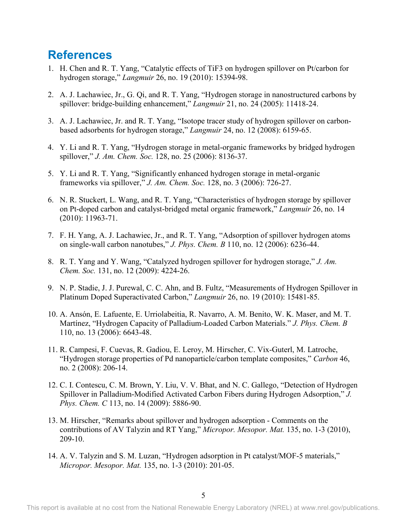### **References**

- 1. H. Chen and R. T. Yang, "Catalytic effects of TiF3 on hydrogen spillover on Pt/carbon for hydrogen storage," *Langmuir* 26, no. 19 (2010): 15394-98.
- 2. A. J. Lachawiec, Jr., G. Qi, and R. T. Yang, "Hydrogen storage in nanostructured carbons by spillover: bridge-building enhancement," *Langmuir* 21, no. 24 (2005): 11418-24.
- 3. A. J. Lachawiec, Jr. and R. T. Yang, "Isotope tracer study of hydrogen spillover on carbonbased adsorbents for hydrogen storage," *Langmuir* 24, no. 12 (2008): 6159-65.
- 4. Y. Li and R. T. Yang, "Hydrogen storage in metal-organic frameworks by bridged hydrogen spillover," *J. Am. Chem. Soc.* 128, no. 25 (2006): 8136-37.
- 5. Y. Li and R. T. Yang, "Significantly enhanced hydrogen storage in metal-organic frameworks via spillover," *J. Am. Chem. Soc.* 128, no. 3 (2006): 726-27.
- 6. N. R. Stuckert, L. Wang, and R. T. Yang, "Characteristics of hydrogen storage by spillover on Pt-doped carbon and catalyst-bridged metal organic framework," *Langmuir* 26, no. 14 (2010): 11963-71.
- 7. F. H. Yang, A. J. Lachawiec, Jr., and R. T. Yang, "Adsorption of spillover hydrogen atoms on single-wall carbon nanotubes," *J. Phys. Chem. B* 110, no. 12 (2006): 6236-44.
- 8. R. T. Yang and Y. Wang, "Catalyzed hydrogen spillover for hydrogen storage," *J. Am. Chem. Soc.* 131, no. 12 (2009): 4224-26.
- 9. N. P. Stadie, J. J. Purewal, C. C. Ahn, and B. Fultz, "Measurements of Hydrogen Spillover in Platinum Doped Superactivated Carbon," *Langmuir* 26, no. 19 (2010): 15481-85.
- 10. A. Ansón, E. Lafuente, E. Urriolabeitia, R. Navarro, A. M. Benito, W. K. Maser, and M. T. Martínez, "Hydrogen Capacity of Palladium-Loaded Carbon Materials." *J. Phys. Chem. B*  110, no. 13 (2006): 6643-48.
- 11. R. Campesi, F. Cuevas, R. Gadiou, E. Leroy, M. Hirscher, C. Vix-Guterl, M. Latroche, "Hydrogen storage properties of Pd nanoparticle/carbon template composites," *Carbon* 46, no. 2 (2008): 206-14.
- 12. C. I. Contescu, C. M. Brown, Y. Liu, V. V. Bhat, and N. C. Gallego, "Detection of Hydrogen Spillover in Palladium-Modified Activated Carbon Fibers during Hydrogen Adsorption," *J. Phys. Chem. C* 113, no. 14 (2009): 5886-90.
- 13. M. Hirscher, "Remarks about spillover and hydrogen adsorption Comments on the contributions of AV Talyzin and RT Yang," *Micropor. Mesopor. Mat.* 135, no. 1-3 (2010), 209-10.
- 14. A. V. Talyzin and S. M. Luzan, "Hydrogen adsorption in Pt catalyst/MOF-5 materials," *Micropor. Mesopor. Mat.* 135, no. 1-3 (2010): 201-05.